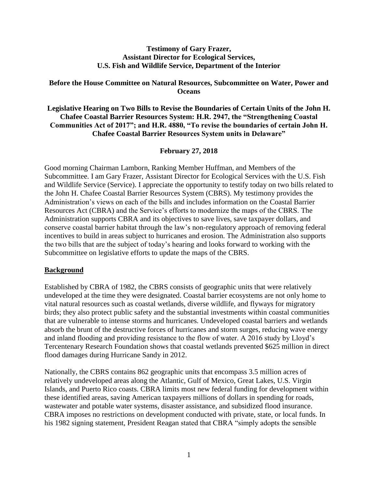#### **Testimony of Gary Frazer, Assistant Director for Ecological Services, U.S. Fish and Wildlife Service, Department of the Interior**

### **Before the House Committee on Natural Resources, Subcommittee on Water, Power and Oceans**

**Legislative Hearing on Two Bills to Revise the Boundaries of Certain Units of the John H. Chafee Coastal Barrier Resources System: H.R. 2947, the "Strengthening Coastal Communities Act of 2017"; and H.R. 4880, "To revise the boundaries of certain John H. Chafee Coastal Barrier Resources System units in Delaware"**

#### **February 27, 2018**

Good morning Chairman Lamborn, Ranking Member Huffman, and Members of the Subcommittee. I am Gary Frazer, Assistant Director for Ecological Services with the U.S. Fish and Wildlife Service (Service). I appreciate the opportunity to testify today on two bills related to the John H. Chafee Coastal Barrier Resources System (CBRS). My testimony provides the Administration's views on each of the bills and includes information on the Coastal Barrier Resources Act (CBRA) and the Service's efforts to modernize the maps of the CBRS. The Administration supports CBRA and its objectives to save lives, save taxpayer dollars, and conserve coastal barrier habitat through the law's non-regulatory approach of removing federal incentives to build in areas subject to hurricanes and erosion. The Administration also supports the two bills that are the subject of today's hearing and looks forward to working with the Subcommittee on legislative efforts to update the maps of the CBRS.

#### **Background**

Established by CBRA of 1982, the CBRS consists of geographic units that were relatively undeveloped at the time they were designated. Coastal barrier ecosystems are not only home to vital natural resources such as coastal wetlands, diverse wildlife, and flyways for migratory birds; they also protect public safety and the substantial investments within coastal communities that are vulnerable to intense storms and hurricanes. Undeveloped coastal barriers and wetlands absorb the brunt of the destructive forces of hurricanes and storm surges, reducing wave energy and inland flooding and providing resistance to the flow of water. A 2016 study by Lloyd's Tercentenary Research Foundation shows that coastal wetlands prevented \$625 million in direct flood damages during Hurricane Sandy in 2012.

Nationally, the CBRS contains 862 geographic units that encompass 3.5 million acres of relatively undeveloped areas along the Atlantic, Gulf of Mexico, Great Lakes, U.S. Virgin Islands, and Puerto Rico coasts. CBRA limits most new federal funding for development within these identified areas, saving American taxpayers millions of dollars in spending for roads, wastewater and potable water systems, disaster assistance, and subsidized flood insurance. CBRA imposes no restrictions on development conducted with private, state, or local funds. In his 1982 signing statement, President Reagan stated that CBRA "simply adopts the sensible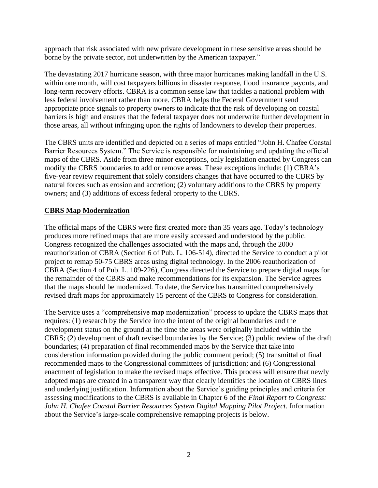approach that risk associated with new private development in these sensitive areas should be borne by the private sector, not underwritten by the American taxpayer."

The devastating 2017 hurricane season, with three major hurricanes making landfall in the U.S. within one month, will cost taxpayers billions in disaster response, flood insurance payouts, and long-term recovery efforts. CBRA is a common sense law that tackles a national problem with less federal involvement rather than more. CBRA helps the Federal Government send appropriate price signals to property owners to indicate that the risk of developing on coastal barriers is high and ensures that the federal taxpayer does not underwrite further development in those areas, all without infringing upon the rights of landowners to develop their properties.

The CBRS units are identified and depicted on a series of maps entitled "John H. Chafee Coastal Barrier Resources System." The Service is responsible for maintaining and updating the official maps of the CBRS. Aside from three minor exceptions, only legislation enacted by Congress can modify the CBRS boundaries to add or remove areas. These exceptions include: (1) CBRA's five-year review requirement that solely considers changes that have occurred to the CBRS by natural forces such as erosion and accretion; (2) voluntary additions to the CBRS by property owners; and (3) additions of excess federal property to the CBRS.

# **CBRS Map Modernization**

The official maps of the CBRS were first created more than 35 years ago. Today's technology produces more refined maps that are more easily accessed and understood by the public. Congress recognized the challenges associated with the maps and, through the 2000 reauthorization of CBRA (Section 6 of Pub. L. 106-514), directed the Service to conduct a pilot project to remap 50-75 CBRS areas using digital technology. In the 2006 reauthorization of CBRA (Section 4 of Pub. L. 109-226), Congress directed the Service to prepare digital maps for the remainder of the CBRS and make recommendations for its expansion. The Service agrees that the maps should be modernized. To date, the Service has transmitted comprehensively revised draft maps for approximately 15 percent of the CBRS to Congress for consideration.

The Service uses a "comprehensive map modernization" process to update the CBRS maps that requires: (1) research by the Service into the intent of the original boundaries and the development status on the ground at the time the areas were originally included within the CBRS; (2) development of draft revised boundaries by the Service; (3) public review of the draft boundaries; (4) preparation of final recommended maps by the Service that take into consideration information provided during the public comment period; (5) transmittal of final recommended maps to the Congressional committees of jurisdiction; and (6) Congressional enactment of legislation to make the revised maps effective. This process will ensure that newly adopted maps are created in a transparent way that clearly identifies the location of CBRS lines and underlying justification. Information about the Service's guiding principles and criteria for assessing modifications to the CBRS is available in Chapter 6 of the *Final Report to Congress: John H. Chafee Coastal Barrier Resources System Digital Mapping Pilot Project*. Information about the Service's large-scale comprehensive remapping projects is below.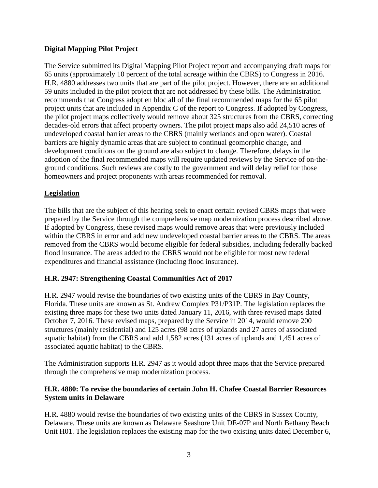# **Digital Mapping Pilot Project**

The Service submitted its Digital Mapping Pilot Project report and accompanying draft maps for 65 units (approximately 10 percent of the total acreage within the CBRS) to Congress in 2016. H.R. 4880 addresses two units that are part of the pilot project. However, there are an additional 59 units included in the pilot project that are not addressed by these bills. The Administration recommends that Congress adopt en bloc all of the final recommended maps for the 65 pilot project units that are included in Appendix C of the report to Congress. If adopted by Congress, the pilot project maps collectively would remove about 325 structures from the CBRS, correcting decades-old errors that affect property owners. The pilot project maps also add 24,510 acres of undeveloped coastal barrier areas to the CBRS (mainly wetlands and open water). Coastal barriers are highly dynamic areas that are subject to continual geomorphic change, and development conditions on the ground are also subject to change. Therefore, delays in the adoption of the final recommended maps will require updated reviews by the Service of on-theground conditions. Such reviews are costly to the government and will delay relief for those homeowners and project proponents with areas recommended for removal.

### **Legislation**

The bills that are the subject of this hearing seek to enact certain revised CBRS maps that were prepared by the Service through the comprehensive map modernization process described above. If adopted by Congress, these revised maps would remove areas that were previously included within the CBRS in error and add new undeveloped coastal barrier areas to the CBRS. The areas removed from the CBRS would become eligible for federal subsidies, including federally backed flood insurance. The areas added to the CBRS would not be eligible for most new federal expenditures and financial assistance (including flood insurance).

# **H.R. 2947: Strengthening Coastal Communities Act of 2017**

H.R. 2947 would revise the boundaries of two existing units of the CBRS in Bay County, Florida. These units are known as St. Andrew Complex P31/P31P. The legislation replaces the existing three maps for these two units dated January 11, 2016, with three revised maps dated October 7, 2016. These revised maps, prepared by the Service in 2014, would remove 200 structures (mainly residential) and 125 acres (98 acres of uplands and 27 acres of associated aquatic habitat) from the CBRS and add 1,582 acres (131 acres of uplands and 1,451 acres of associated aquatic habitat) to the CBRS.

The Administration supports H.R. 2947 as it would adopt three maps that the Service prepared through the comprehensive map modernization process.

### **H.R. 4880: To revise the boundaries of certain John H. Chafee Coastal Barrier Resources System units in Delaware**

H.R. 4880 would revise the boundaries of two existing units of the CBRS in Sussex County, Delaware. These units are known as Delaware Seashore Unit DE-07P and North Bethany Beach Unit H01. The legislation replaces the existing map for the two existing units dated December 6,